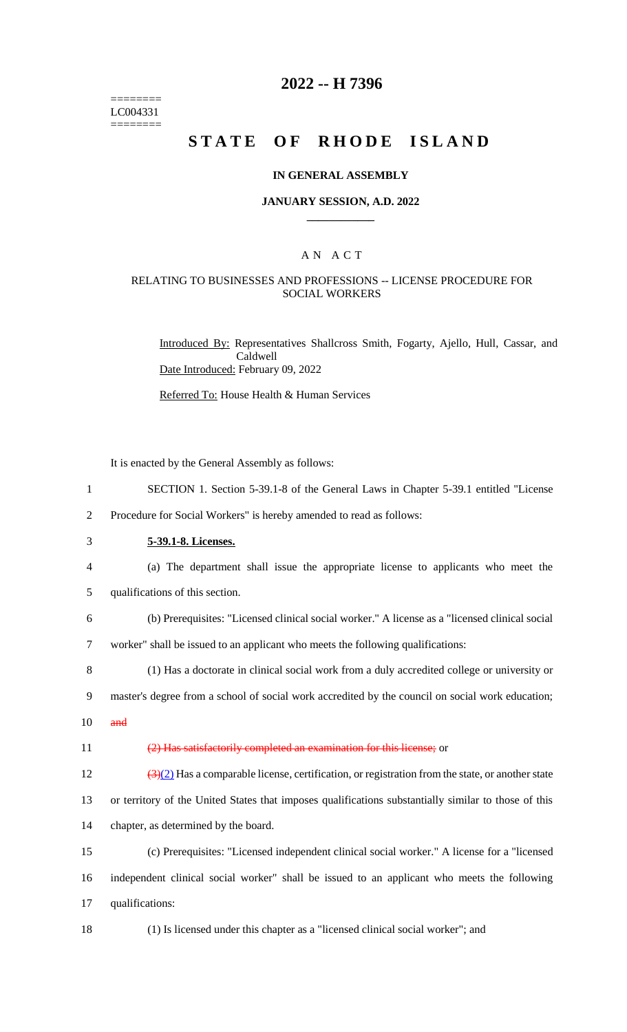======== LC004331 ========

### **2022 -- H 7396**

# **STATE OF RHODE ISLAND**

### **IN GENERAL ASSEMBLY**

#### **JANUARY SESSION, A.D. 2022 \_\_\_\_\_\_\_\_\_\_\_\_**

### A N A C T

### RELATING TO BUSINESSES AND PROFESSIONS -- LICENSE PROCEDURE FOR SOCIAL WORKERS

Introduced By: Representatives Shallcross Smith, Fogarty, Ajello, Hull, Cassar, and Caldwell Date Introduced: February 09, 2022

Referred To: House Health & Human Services

It is enacted by the General Assembly as follows:

- 1 SECTION 1. Section 5-39.1-8 of the General Laws in Chapter 5-39.1 entitled "License
- 2 Procedure for Social Workers" is hereby amended to read as follows:
- 3 **5-39.1-8. Licenses.**
- 4 (a) The department shall issue the appropriate license to applicants who meet the
- 5 qualifications of this section.
- 6 (b) Prerequisites: "Licensed clinical social worker." A license as a "licensed clinical social 7 worker" shall be issued to an applicant who meets the following qualifications:

8 (1) Has a doctorate in clinical social work from a duly accredited college or university or

- 9 master's degree from a school of social work accredited by the council on social work education;
- $10$  and

#### 11 (2) Has satisfactorily completed an examination for this license; or

 $\frac{(3)(2)}{4}$  Has a comparable license, certification, or registration from the state, or another state

13 or territory of the United States that imposes qualifications substantially similar to those of this 14 chapter, as determined by the board.

15 (c) Prerequisites: "Licensed independent clinical social worker." A license for a "licensed 16 independent clinical social worker" shall be issued to an applicant who meets the following 17 qualifications:

18 (1) Is licensed under this chapter as a "licensed clinical social worker"; and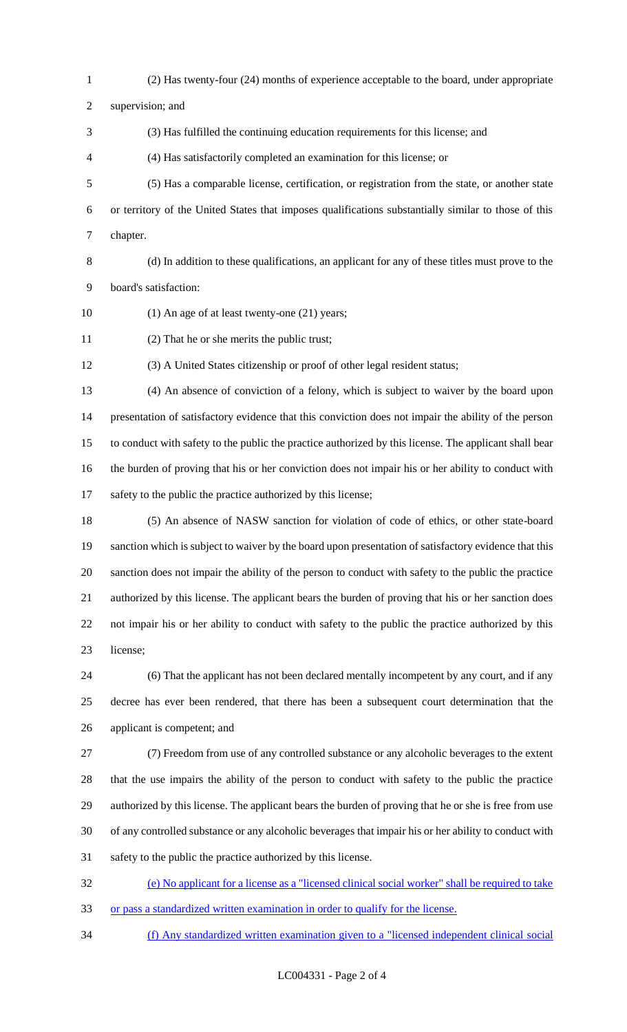(2) Has twenty-four (24) months of experience acceptable to the board, under appropriate

supervision; and

- (3) Has fulfilled the continuing education requirements for this license; and
- (4) Has satisfactorily completed an examination for this license; or
- (5) Has a comparable license, certification, or registration from the state, or another state or territory of the United States that imposes qualifications substantially similar to those of this chapter.
- 

 (d) In addition to these qualifications, an applicant for any of these titles must prove to the board's satisfaction:

- (1) An age of at least twenty-one (21) years;
- (2) That he or she merits the public trust;

(3) A United States citizenship or proof of other legal resident status;

 (4) An absence of conviction of a felony, which is subject to waiver by the board upon presentation of satisfactory evidence that this conviction does not impair the ability of the person to conduct with safety to the public the practice authorized by this license. The applicant shall bear the burden of proving that his or her conviction does not impair his or her ability to conduct with 17 safety to the public the practice authorized by this license;

 (5) An absence of NASW sanction for violation of code of ethics, or other state-board sanction which is subject to waiver by the board upon presentation of satisfactory evidence that this sanction does not impair the ability of the person to conduct with safety to the public the practice authorized by this license. The applicant bears the burden of proving that his or her sanction does not impair his or her ability to conduct with safety to the public the practice authorized by this license;

 (6) That the applicant has not been declared mentally incompetent by any court, and if any decree has ever been rendered, that there has been a subsequent court determination that the applicant is competent; and

 (7) Freedom from use of any controlled substance or any alcoholic beverages to the extent that the use impairs the ability of the person to conduct with safety to the public the practice authorized by this license. The applicant bears the burden of proving that he or she is free from use of any controlled substance or any alcoholic beverages that impair his or her ability to conduct with safety to the public the practice authorized by this license.

 (e) No applicant for a license as a "licensed clinical social worker" shall be required to take or pass a standardized written examination in order to qualify for the license.

(f) Any standardized written examination given to a "licensed independent clinical social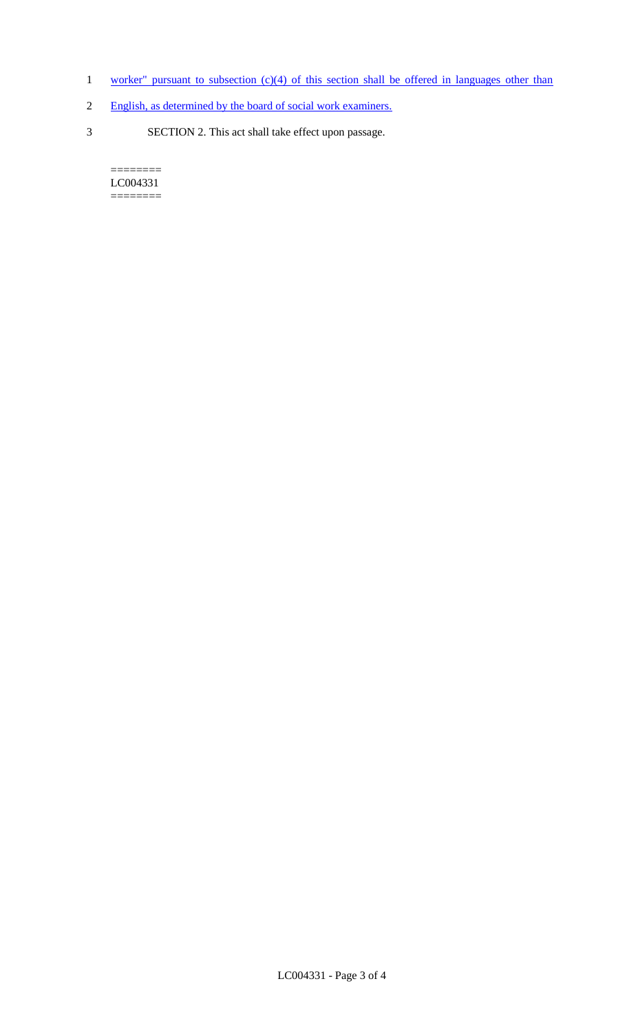- 1 worker" pursuant to subsection (c)(4) of this section shall be offered in languages other than
- 2 English, as determined by the board of social work examiners.
- 3 SECTION 2. This act shall take effect upon passage.

 $=$ LC004331 ========